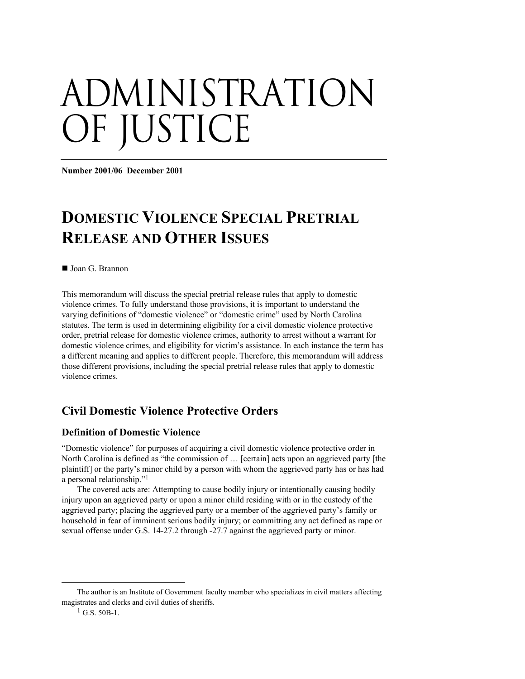# administration OF JUSTICE

**Number 2001/06 December 2001** 

# **DOMESTIC VIOLENCE SPECIAL PRETRIAL RELEASE AND OTHER ISSUES**

■ Joan G. Brannon

This memorandum will discuss the special pretrial release rules that apply to domestic violence crimes. To fully understand those provisions, it is important to understand the varying definitions of "domestic violence" or "domestic crime" used by North Carolina statutes. The term is used in determining eligibility for a civil domestic violence protective order, pretrial release for domestic violence crimes, authority to arrest without a warrant for domestic violence crimes, and eligibility for victim's assistance. In each instance the term has a different meaning and applies to different people. Therefore, this memorandum will address those different provisions, including the special pretrial release rules that apply to domestic violence crimes.

# **Civil Domestic Violence Protective Orders**

#### **Definition of Domestic Violence**

"Domestic violence" for purposes of acquiring a civil domestic violence protective order in North Carolina is defined as "the commission of … [certain] acts upon an aggrieved party [the plaintiff] or the party's minor child by a person with whom the aggrieved party has or has had a personal relationship.["1](#page-0-0)

The covered acts are: Attempting to cause bodily injury or intentionally causing bodily injury upon an aggrieved party or upon a minor child residing with or in the custody of the aggrieved party; placing the aggrieved party or a member of the aggrieved party's family or household in fear of imminent serious bodily injury; or committing any act defined as rape or sexual offense under G.S. 14-27.2 through -27.7 against the aggrieved party or minor.

 $\overline{a}$ 

<span id="page-0-0"></span>The author is an Institute of Government faculty member who specializes in civil matters affecting magistrates and clerks and civil duties of sheriffs.

 $1$  G.S. 50B-1.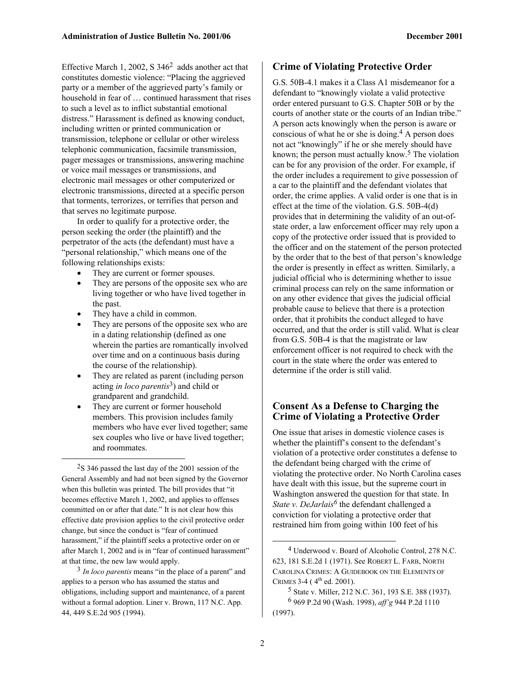Effective March 1, 2002, S  $346<sup>2</sup>$  adds another act that constitutes domestic violence: "Placing the aggrieved party or a member of the aggrieved party's family or household in fear of … continued harassment that rises to such a level as to inflict substantial emotional distress." Harassment is defined as knowing conduct, including written or printed communication or transmission, telephone or cellular or other wireless telephonic communication, facsimile transmission, pager messages or transmissions, answering machine or voice mail messages or transmissions, and electronic mail messages or other computerized or electronic transmissions, directed at a specific person that torments, terrorizes, or terrifies that person and that serves no legitimate purpose.

In order to qualify for a protective order, the person seeking the order (the plaintiff) and the perpetrator of the acts (the defendant) must have a "personal relationship," which means one of the following relationships exists:

- They are current or former spouses.
- They are persons of the opposite sex who are living together or who have lived together in the past.
- They have a child in common.

 $\overline{a}$ 

- They are persons of the opposite sex who are in a dating relationship (defined as one wherein the parties are romantically involved over time and on a continuous basis during the course of the relationship).
- They are related as parent (including person acting *in loco parentis*[3\)](#page-1-1) and child or grandparent and grandchild.
- They are current or former household members. This provision includes family members who have ever lived together; same sex couples who live or have lived together; and roommates.

<span id="page-1-0"></span>2S 346 passed the last day of the 2001 session of the General Assembly and had not been signed by the Governor when this bulletin was printed. The bill provides that "it becomes effective March 1, 2002, and applies to offenses committed on or after that date." It is not clear how this effective date provision applies to the civil protective order change, but since the conduct is "fear of continued harassment," if the plaintiff seeks a protective order on or after March 1, 2002 and is in "fear of continued harassment" at that time, the new law would apply.

<span id="page-1-1"></span>3 *In loco parentis* means "in the place of a parent" and applies to a person who has assumed the status and obligations, including support and maintenance, of a parent without a formal adoption. Liner v. Brown, 117 N.C. App. 44, 449 S.E.2d 905 (1994).

#### **Crime of Violating Protective Order**

G.S. 50B-4.1 makes it a Class A1 misdemeanor for a defendant to "knowingly violate a valid protective order entered pursuant to G.S. Chapter 50B or by the courts of another state or the courts of an Indian tribe." A person acts knowingly when the person is aware or conscious of what he or she is doing.<sup>4</sup> A person does not act "knowingly" if he or she merely should have known; the person must actually know. $5$  The violation can be for any provision of the order. For example, if the order includes a requirement to give possession of a car to the plaintiff and the defendant violates that order, the crime applies. A valid order is one that is in effect at the time of the violation. G.S. 50B-4(d) provides that in determining the validity of an out-ofstate order, a law enforcement officer may rely upon a copy of the protective order issued that is provided to the officer and on the statement of the person protected by the order that to the best of that person's knowledge the order is presently in effect as written. Similarly, a judicial official who is determining whether to issue criminal process can rely on the same information or on any other evidence that gives the judicial official probable cause to believe that there is a protection order, that it prohibits the conduct alleged to have occurred, and that the order is still valid. What is clear from G.S. 50B-4 is that the magistrate or law enforcement officer is not required to check with the court in the state where the order was entered to determine if the order is still valid.

#### **Consent As a Defense to Charging the Crime of Violating a Protective Order**

One issue that arises in domestic violence cases is whether the plaintiff's consent to the defendant's violation of a protective order constitutes a defense to the defendant being charged with the crime of violating the protective order. No North Carolina cases have dealt with this issue, but the supreme court in Washington answered the question for that state. In *State v. DeJarlais<sup>6</sup>* the defendant challenged a conviction for violating a protective order that restrained him from going within 100 feet of his

1

<span id="page-1-2"></span><sup>4</sup> Underwood v. Board of Alcoholic Control, 278 N.C. 623, 181 S.E.2d 1 (1971). See ROBERT L. FARB, NORTH CAROLINA CRIMES: A GUIDEBOOK ON THE ELEMENTS OF CRIMES 3-4 ( $4^{th}$  ed. 2001).

<span id="page-1-4"></span><span id="page-1-3"></span><sup>5</sup> State v. Miller, 212 N.C. 361, 193 S.E. 388 (1937). 6 969 P.2d 90 (Wash. 1998), *aff'g* 944 P.2d 1110 (1997).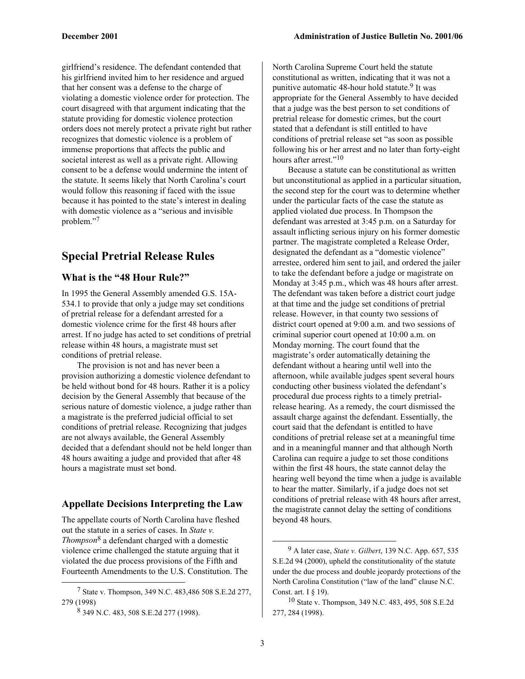girlfriend's residence. The defendant contended that his girlfriend invited him to her residence and argued that her consent was a defense to the charge of violating a domestic violence order for protection. The court disagreed with that argument indicating that the statute providing for domestic violence protection orders does not merely protect a private right but rather recognizes that domestic violence is a problem of immense proportions that affects the public and societal interest as well as a private right. Allowing consent to be a defense would undermine the intent of the statute. It seems likely that North Carolina's court would follow this reasoning if faced with the issue because it has pointed to the state's interest in dealing with domestic violence as a "serious and invisible problem."[7](#page-2-0)

# **Special Pretrial Release Rules**

#### **What is the "48 Hour Rule?"**

In 1995 the General Assembly amended G.S. 15A-534.1 to provide that only a judge may set conditions of pretrial release for a defendant arrested for a domestic violence crime for the first 48 hours after arrest. If no judge has acted to set conditions of pretrial release within 48 hours, a magistrate must set conditions of pretrial release.

The provision is not and has never been a provision authorizing a domestic violence defendant to be held without bond for 48 hours. Rather it is a policy decision by the General Assembly that because of the serious nature of domestic violence, a judge rather than a magistrate is the preferred judicial official to set conditions of pretrial release. Recognizing that judges are not always available, the General Assembly decided that a defendant should not be held longer than 48 hours awaiting a judge and provided that after 48 hours a magistrate must set bond.

#### **Appellate Decisions Interpreting the Law**

The appellate courts of North Carolina have fleshed out the statute in a series of cases. In *State v. Thompson*[8](#page-2-1) a defendant charged with a domestic violence crime challenged the statute arguing that it violated the due process provisions of the Fifth and Fourteenth Amendments to the U.S. Constitution. The

1

North Carolina Supreme Court held the statute constitutional as written, indicating that it was not a punitive automatic 48-hour hold statute.<sup>9</sup> It was appropriate for the General Assembly to have decided that a judge was the best person to set conditions of pretrial release for domestic crimes, but the court stated that a defendant is still entitled to have conditions of pretrial release set "as soon as possible following his or her arrest and no later than forty-eight hours after arrest."<sup>10</sup>

Because a statute can be constitutional as written but unconstitutional as applied in a particular situation, the second step for the court was to determine whether under the particular facts of the case the statute as applied violated due process. In Thompson the defendant was arrested at 3:45 p.m. on a Saturday for assault inflicting serious injury on his former domestic partner. The magistrate completed a Release Order, designated the defendant as a "domestic violence" arrestee, ordered him sent to jail, and ordered the jailer to take the defendant before a judge or magistrate on Monday at 3:45 p.m., which was 48 hours after arrest. The defendant was taken before a district court judge at that time and the judge set conditions of pretrial release. However, in that county two sessions of district court opened at 9:00 a.m. and two sessions of criminal superior court opened at 10:00 a.m. on Monday morning. The court found that the magistrate's order automatically detaining the defendant without a hearing until well into the afternoon, while available judges spent several hours conducting other business violated the defendant's procedural due process rights to a timely pretrialrelease hearing. As a remedy, the court dismissed the assault charge against the defendant. Essentially, the court said that the defendant is entitled to have conditions of pretrial release set at a meaningful time and in a meaningful manner and that although North Carolina can require a judge to set those conditions within the first 48 hours, the state cannot delay the hearing well beyond the time when a judge is available to hear the matter. Similarly, if a judge does not set conditions of pretrial release with 48 hours after arrest, the magistrate cannot delay the setting of conditions beyond 48 hours.

1

<span id="page-2-0"></span><sup>7</sup> State v. Thompson, 349 N.C. 483,486 508 S.E.2d 277, 279 (1998)

<span id="page-2-1"></span><sup>8 349</sup> N.C. 483, 508 S.E.2d 277 (1998).

<span id="page-2-2"></span><sup>9</sup> A later case, *State v. Gilbert*, 139 N.C. App. 657, 535 S.E.2d 94 (2000), upheld the constitutionality of the statute under the due process and double jeopardy protections of the North Carolina Constitution ("law of the land" clause N.C. Const. art. I § 19).

<span id="page-2-3"></span><sup>10</sup> State v. Thompson, 349 N.C. 483, 495, 508 S.E.2d 277, 284 (1998).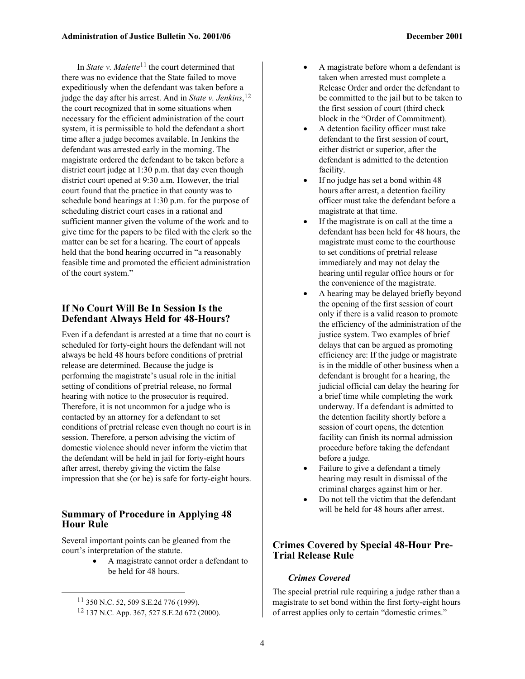In *State v. Malette*<sup>11</sup> the court determined that there was no evidence that the State failed to move expeditiously when the defendant was taken before a judge the day after his arrest. And in *State v. Jenkins*, [12](#page-3-1)  the court recognized that in some situations when necessary for the efficient administration of the court system, it is permissible to hold the defendant a short time after a judge becomes available. In Jenkins the defendant was arrested early in the morning. The magistrate ordered the defendant to be taken before a district court judge at 1:30 p.m. that day even though district court opened at 9:30 a.m. However, the trial court found that the practice in that county was to schedule bond hearings at 1:30 p.m. for the purpose of scheduling district court cases in a rational and sufficient manner given the volume of the work and to give time for the papers to be filed with the clerk so the matter can be set for a hearing. The court of appeals held that the bond hearing occurred in "a reasonably feasible time and promoted the efficient administration of the court system."

#### **If No Court Will Be In Session Is the Defendant Always Held for 48-Hours?**

Even if a defendant is arrested at a time that no court is scheduled for forty-eight hours the defendant will not always be held 48 hours before conditions of pretrial release are determined. Because the judge is performing the magistrate's usual role in the initial setting of conditions of pretrial release, no formal hearing with notice to the prosecutor is required. Therefore, it is not uncommon for a judge who is contacted by an attorney for a defendant to set conditions of pretrial release even though no court is in session. Therefore, a person advising the victim of domestic violence should never inform the victim that the defendant will be held in jail for forty-eight hours after arrest, thereby giving the victim the false impression that she (or he) is safe for forty-eight hours.

#### **Summary of Procedure in Applying 48 Hour Rule**

Several important points can be gleaned from the court's interpretation of the statute.

> • A magistrate cannot order a defendant to be held for 48 hours.

- A magistrate before whom a defendant is taken when arrested must complete a Release Order and order the defendant to be committed to the jail but to be taken to the first session of court (third check block in the "Order of Commitment).
- A detention facility officer must take defendant to the first session of court, either district or superior, after the defendant is admitted to the detention facility.
- If no judge has set a bond within 48 hours after arrest, a detention facility officer must take the defendant before a magistrate at that time.
- If the magistrate is on call at the time a defendant has been held for 48 hours, the magistrate must come to the courthouse to set conditions of pretrial release immediately and may not delay the hearing until regular office hours or for the convenience of the magistrate.
- A hearing may be delayed briefly beyond the opening of the first session of court only if there is a valid reason to promote the efficiency of the administration of the justice system. Two examples of brief delays that can be argued as promoting efficiency are: If the judge or magistrate is in the middle of other business when a defendant is brought for a hearing, the judicial official can delay the hearing for a brief time while completing the work underway. If a defendant is admitted to the detention facility shortly before a session of court opens, the detention facility can finish its normal admission procedure before taking the defendant before a judge.
- Failure to give a defendant a timely hearing may result in dismissal of the criminal charges against him or her.
- Do not tell the victim that the defendant will be held for 48 hours after arrest.

#### **Crimes Covered by Special 48-Hour Pre-Trial Release Rule**

#### *Crimes Covered*

The special pretrial rule requiring a judge rather than a magistrate to set bond within the first forty-eight hours of arrest applies only to certain "domestic crimes."

<span id="page-3-0"></span> <sup>11 350</sup> N.C. 52, 509 S.E.2d 776 (1999).

<span id="page-3-1"></span><sup>12 137</sup> N.C. App. 367, 527 S.E.2d 672 (2000).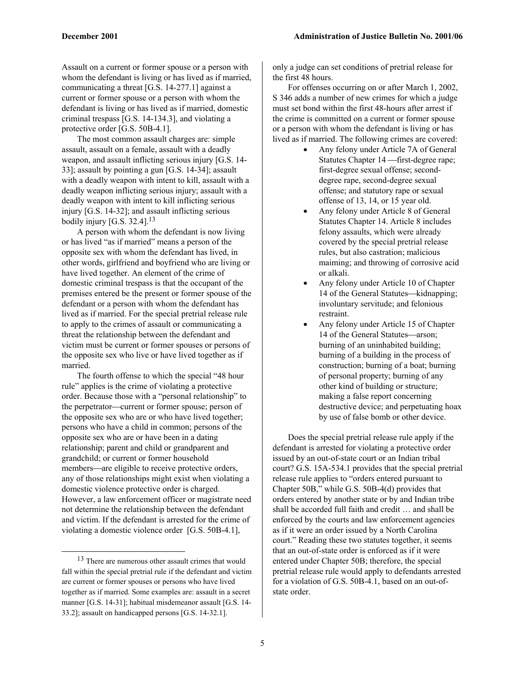Assault on a current or former spouse or a person with whom the defendant is living or has lived as if married, communicating a threat [G.S. 14-277.1] against a current or former spouse or a person with whom the defendant is living or has lived as if married, domestic criminal trespass [G.S. 14-134.3], and violating a protective order [G.S. 50B-4.1].

The most common assault charges are: simple assault, assault on a female, assault with a deadly weapon, and assault inflicting serious injury [G.S. 14- 33]; assault by pointing a gun [G.S. 14-34]; assault with a deadly weapon with intent to kill, assault with a deadly weapon inflicting serious injury; assault with a deadly weapon with intent to kill inflicting serious injury [G.S. 14-32]; and assault inflicting serious bodily injury [G.S. 32.4]. $13$ 

A person with whom the defendant is now living or has lived "as if married" means a person of the opposite sex with whom the defendant has lived, in other words, girlfriend and boyfriend who are living or have lived together. An element of the crime of domestic criminal trespass is that the occupant of the premises entered be the present or former spouse of the defendant or a person with whom the defendant has lived as if married. For the special pretrial release rule to apply to the crimes of assault or communicating a threat the relationship between the defendant and victim must be current or former spouses or persons of the opposite sex who live or have lived together as if married.

The fourth offense to which the special "48 hour rule" applies is the crime of violating a protective order. Because those with a "personal relationship" to the perpetrator—current or former spouse; person of the opposite sex who are or who have lived together; persons who have a child in common; persons of the opposite sex who are or have been in a dating relationship; parent and child or grandparent and grandchild; or current or former household members—are eligible to receive protective orders, any of those relationships might exist when violating a domestic violence protective order is charged. However, a law enforcement officer or magistrate need not determine the relationship between the defendant and victim. If the defendant is arrested for the crime of violating a domestic violence order [G.S. 50B-4.1],

only a judge can set conditions of pretrial release for the first 48 hours.

For offenses occurring on or after March 1, 2002, S 346 adds a number of new crimes for which a judge must set bond within the first 48-hours after arrest if the crime is committed on a current or former spouse or a person with whom the defendant is living or has lived as if married. The following crimes are covered:

- Any felony under Article 7A of General Statutes Chapter 14 - first-degree rape; first-degree sexual offense; seconddegree rape, second-degree sexual offense; and statutory rape or sexual offense of 13, 14, or 15 year old.
- Any felony under Article 8 of General Statutes Chapter 14. Article 8 includes felony assaults, which were already covered by the special pretrial release rules, but also castration; malicious maiming; and throwing of corrosive acid or alkali.
- Any felony under Article 10 of Chapter 14 of the General Statutes—kidnapping; involuntary servitude; and felonious restraint.
- Any felony under Article 15 of Chapter 14 of the General Statutes—arson; burning of an uninhabited building; burning of a building in the process of construction; burning of a boat; burning of personal property; burning of any other kind of building or structure; making a false report concerning destructive device; and perpetuating hoax by use of false bomb or other device.

Does the special pretrial release rule apply if the defendant is arrested for violating a protective order issued by an out-of-state court or an Indian tribal court? G.S. 15A-534.1 provides that the special pretrial release rule applies to "orders entered pursuant to Chapter 50B," while G.S. 50B-4(d) provides that orders entered by another state or by and Indian tribe shall be accorded full faith and credit … and shall be enforced by the courts and law enforcement agencies as if it were an order issued by a North Carolina court." Reading these two statutes together, it seems that an out-of-state order is enforced as if it were entered under Chapter 50B; therefore, the special pretrial release rule would apply to defendants arrested for a violation of G.S. 50B-4.1, based on an out-ofstate order.

<span id="page-4-0"></span> <sup>13</sup> There are numerous other assault crimes that would fall within the special pretrial rule if the defendant and victim are current or former spouses or persons who have lived together as if married. Some examples are: assault in a secret manner [G.S. 14-31]; habitual misdemeanor assault [G.S. 14- 33.2]; assault on handicapped persons [G.S. 14-32.1].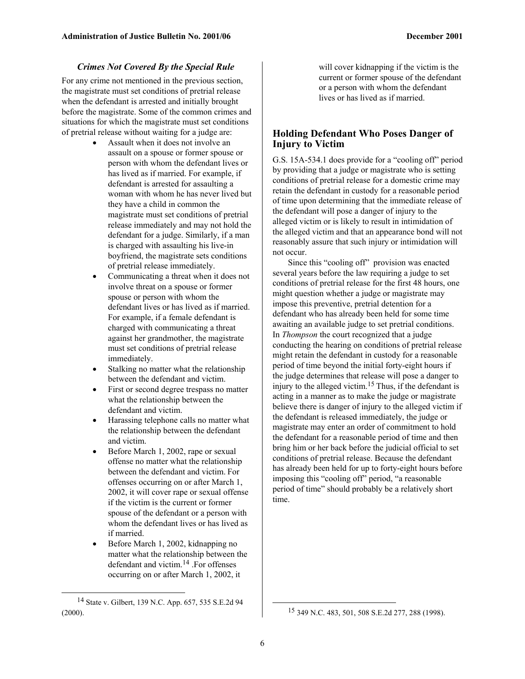#### *Crimes Not Covered By the Special Rule*

For any crime not mentioned in the previous section, the magistrate must set conditions of pretrial release when the defendant is arrested and initially brought before the magistrate. Some of the common crimes and situations for which the magistrate must set conditions of pretrial release without waiting for a judge are:

- Assault when it does not involve an assault on a spouse or former spouse or person with whom the defendant lives or has lived as if married. For example, if defendant is arrested for assaulting a woman with whom he has never lived but they have a child in common the magistrate must set conditions of pretrial release immediately and may not hold the defendant for a judge. Similarly, if a man is charged with assaulting his live-in boyfriend, the magistrate sets conditions of pretrial release immediately.
- Communicating a threat when it does not involve threat on a spouse or former spouse or person with whom the defendant lives or has lived as if married. For example, if a female defendant is charged with communicating a threat against her grandmother, the magistrate must set conditions of pretrial release immediately.
- Stalking no matter what the relationship between the defendant and victim.
- First or second degree trespass no matter what the relationship between the defendant and victim.
- Harassing telephone calls no matter what the relationship between the defendant and victim.
- Before March 1, 2002, rape or sexual offense no matter what the relationship between the defendant and victim. For offenses occurring on or after March 1, 2002, it will cover rape or sexual offense if the victim is the current or former spouse of the defendant or a person with whom the defendant lives or has lived as if married.
- Before March 1, 2002, kidnapping no matter what the relationship between the defendant and victim. [14](#page-5-0) .For offenses occurring on or after March 1, 2002, it

 $\overline{a}$ 

will cover kidnapping if the victim is the current or former spouse of the defendant or a person with whom the defendant lives or has lived as if married.

#### **Holding Defendant Who Poses Danger of Injury to Victim**

G.S. 15A-534.1 does provide for a "cooling off" period by providing that a judge or magistrate who is setting conditions of pretrial release for a domestic crime may retain the defendant in custody for a reasonable period of time upon determining that the immediate release of the defendant will pose a danger of injury to the alleged victim or is likely to result in intimidation of the alleged victim and that an appearance bond will not reasonably assure that such injury or intimidation will not occur.

Since this "cooling off" provision was enacted several years before the law requiring a judge to set conditions of pretrial release for the first 48 hours, one might question whether a judge or magistrate may impose this preventive, pretrial detention for a defendant who has already been held for some time awaiting an available judge to set pretrial conditions. In *Thompson* the court recognized that a judge conducting the hearing on conditions of pretrial release might retain the defendant in custody for a reasonable period of time beyond the initial forty-eight hours if the judge determines that release will pose a danger to injury to the alleged victim. [15 T](#page-5-1)hus, if the defendant is acting in a manner as to make the judge or magistrate believe there is danger of injury to the alleged victim if the defendant is released immediately, the judge or magistrate may enter an order of commitment to hold the defendant for a reasonable period of time and then bring him or her back before the judicial official to set conditions of pretrial release. Because the defendant has already been held for up to forty-eight hours before imposing this "cooling off" period, "a reasonable period of time" should probably be a relatively short time.

<span id="page-5-0"></span> <sup>14</sup> State v. Gilbert, 139 N.C. App. 657, 535 S.E.2d 94 (2000).

<span id="page-5-1"></span><sup>15 349</sup> N.C. 483, 501, 508 S.E.2d 277, 288 (1998).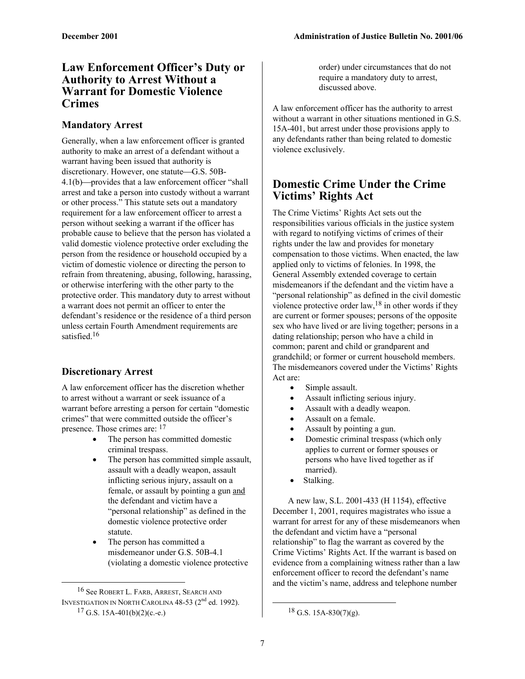## **Law Enforcement Officer's Duty or Authority to Arrest Without a Warrant for Domestic Violence Crimes**

#### **Mandatory Arrest**

Generally, when a law enforcement officer is granted authority to make an arrest of a defendant without a warrant having been issued that authority is discretionary. However, one statute—G.S. 50B- $4.1(b)$ —provides that a law enforcement officer "shall" arrest and take a person into custody without a warrant or other process." This statute sets out a mandatory requirement for a law enforcement officer to arrest a person without seeking a warrant if the officer has probable cause to believe that the person has violated a valid domestic violence protective order excluding the person from the residence or household occupied by a victim of domestic violence or directing the person to refrain from threatening, abusing, following, harassing, or otherwise interfering with the other party to the protective order. This mandatory duty to arrest without a warrant does not permit an officer to enter the defendant's residence or the residence of a third person unless certain Fourth Amendment requirements are satisfied.<sup>16</sup>

#### **Discretionary Arrest**

<span id="page-6-0"></span>1

A law enforcement officer has the discretion whether to arrest without a warrant or seek issuance of a warrant before arresting a person for certain "domestic crimes" that were committed outside the officer's presence. Those crimes are: [17](#page-6-1)

- The person has committed domestic criminal trespass.
- The person has committed simple assault, assault with a deadly weapon, assault inflicting serious injury, assault on a female, or assault by pointing a gun and the defendant and victim have a "personal relationship" as defined in the domestic violence protective order statute.
- The person has committed a misdemeanor under G.S. 50B-4.1 (violating a domestic violence protective

order) under circumstances that do not require a mandatory duty to arrest, discussed above.

A law enforcement officer has the authority to arrest without a warrant in other situations mentioned in G.S. 15A-401, but arrest under those provisions apply to any defendants rather than being related to domestic violence exclusively.

# **Domestic Crime Under the Crime Victims' Rights Act**

The Crime Victims' Rights Act sets out the responsibilities various officials in the justice system with regard to notifying victims of crimes of their rights under the law and provides for monetary compensation to those victims. When enacted, the law applied only to victims of felonies. In 1998, the General Assembly extended coverage to certain misdemeanors if the defendant and the victim have a "personal relationship" as defined in the civil domestic violence protective order law,  $18$  in other words if they are current or former spouses; persons of the opposite sex who have lived or are living together; persons in a dating relationship; person who have a child in common; parent and child or grandparent and grandchild; or former or current household members. The misdemeanors covered under the Victims' Rights Act are:

- Simple assault.
- Assault inflicting serious injury.
- Assault with a deadly weapon.
- Assault on a female.
- Assault by pointing a gun.
- Domestic criminal trespass (which only applies to current or former spouses or persons who have lived together as if married).
- Stalking.

A new law, S.L. 2001-433 (H 1154), effective December 1, 2001, requires magistrates who issue a warrant for arrest for any of these misdemeanors when the defendant and victim have a "personal relationship" to flag the warrant as covered by the Crime Victims' Rights Act. If the warrant is based on evidence from a complaining witness rather than a law enforcement officer to record the defendant's name and the victim's name, address and telephone number

1

<span id="page-6-1"></span><sup>16</sup> See ROBERT L. FARB, ARREST, SEARCH AND INVESTIGATION IN NORTH CAROLINA 48-53 ( $2^{nd}$  ed. 1992).<br><sup>17</sup> G.S. 15A-401(b)(2)(c.-e.)

<span id="page-6-2"></span> $18$  G.S. 15A-830(7)(g).